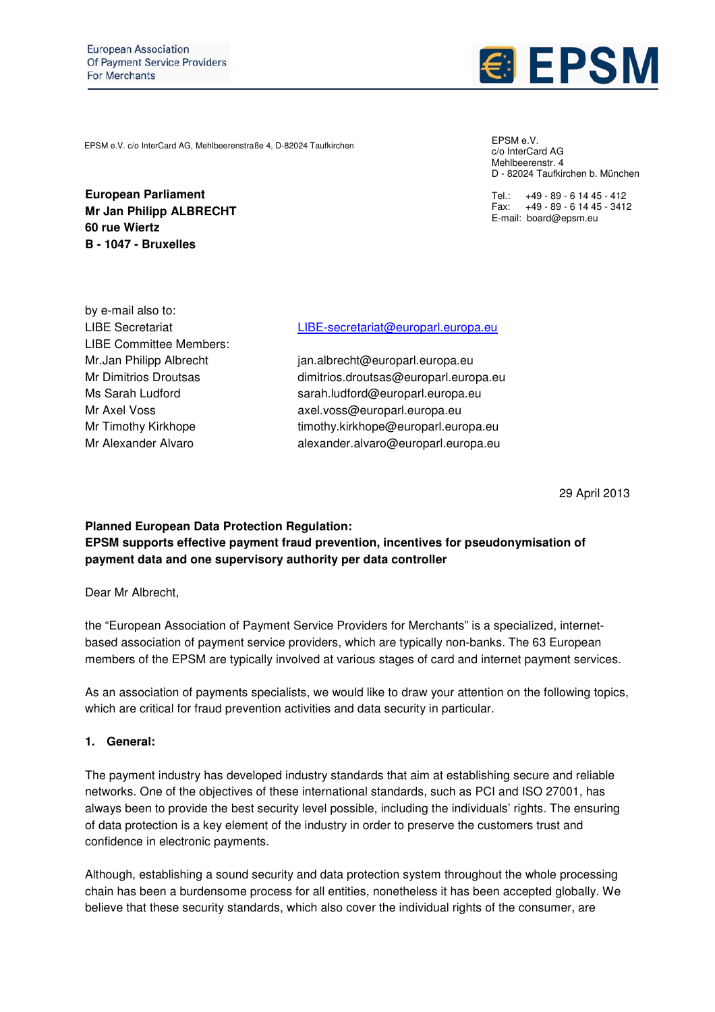

EPSM e.V. c/o InterCard AG, Mehlbeerenstraße 4, D-82024 Taufkirchen

**European Parliament Mr Jan Philipp ALBRECHT 60 rue Wiertz B - 1047 - Bruxelles** 

EPSM e.V. c/o InterCard AG Mehlbeerenstr. 4 D - 82024 Taufkirchen b. München

Tel.: +49 - 89 - 6 14 45 - 412 Fax: +49 - 89 - 6 14 45 - 3412 E-mail: board@epsm.eu

by e-mail also to: LIBE Committee Members:

#### LIBE Secretariat LIBE-secretariat@europarl.europa.eu

Mr.Jan Philipp Albrecht jan.albrecht@europarl.europa.eu Mr Dimitrios Droutsas dimitrios.droutsas@europarl.europa.eu Ms Sarah Ludford sarah.ludford@europarl.europa.eu Mr Axel Voss axel.voss@europarl.europa.eu Mr Timothy Kirkhope timothy.kirkhope@europarl.europa.eu Mr Alexander Alvaro alexander.alvaro@europarl.europa.eu

29 April 2013

#### **Planned European Data Protection Regulation: EPSM supports effective payment fraud prevention, incentives for pseudonymisation of payment data and one supervisory authority per data controller**

Dear Mr Albrecht,

the "European Association of Payment Service Providers for Merchants" is a specialized, internetbased association of payment service providers, which are typically non-banks. The 63 European members of the EPSM are typically involved at various stages of card and internet payment services.

As an association of payments specialists, we would like to draw your attention on the following topics, which are critical for fraud prevention activities and data security in particular.

#### **1. General:**

The payment industry has developed industry standards that aim at establishing secure and reliable networks. One of the objectives of these international standards, such as PCI and ISO 27001, has always been to provide the best security level possible, including the individuals' rights. The ensuring of data protection is a key element of the industry in order to preserve the customers trust and confidence in electronic payments.

Although, establishing a sound security and data protection system throughout the whole processing chain has been a burdensome process for all entities, nonetheless it has been accepted globally. We believe that these security standards, which also cover the individual rights of the consumer, are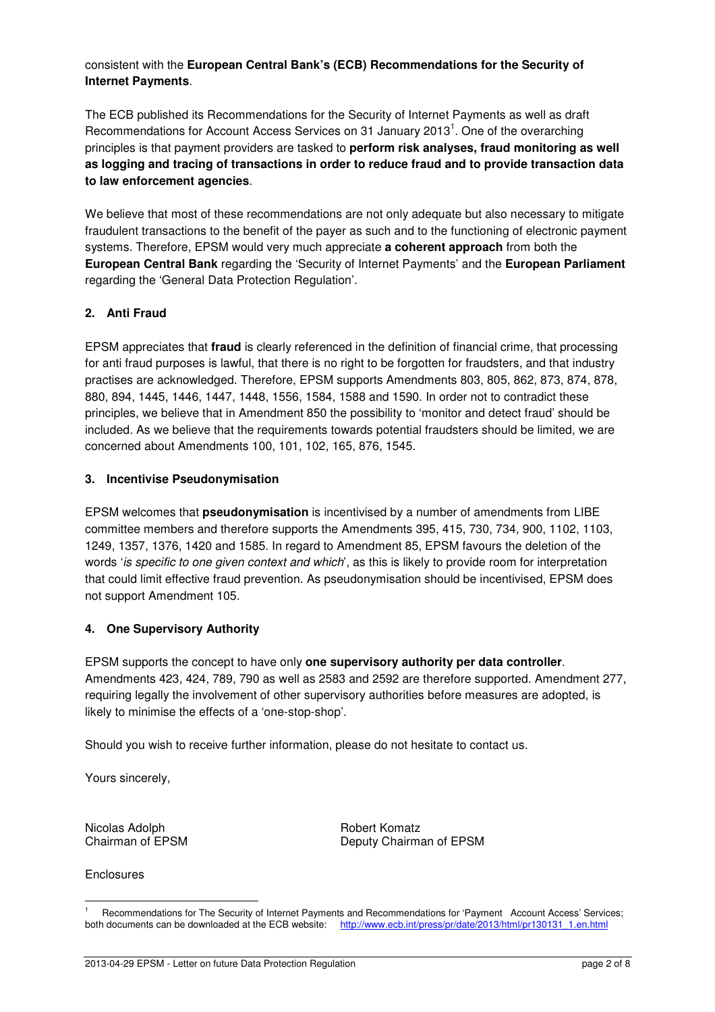#### consistent with the **European Central Bank's (ECB) Recommendations for the Security of Internet Payments**.

The ECB published its Recommendations for the Security of Internet Payments as well as draft Recommendations for Account Access Services on 31 January 2013<sup>1</sup>. One of the overarching principles is that payment providers are tasked to **perform risk analyses, fraud monitoring as well as logging and tracing of transactions in order to reduce fraud and to provide transaction data to law enforcement agencies**.

We believe that most of these recommendations are not only adequate but also necessary to mitigate fraudulent transactions to the benefit of the payer as such and to the functioning of electronic payment systems. Therefore, EPSM would very much appreciate **a coherent approach** from both the **European Central Bank** regarding the 'Security of Internet Payments' and the **European Parliament** regarding the 'General Data Protection Regulation'.

### **2. Anti Fraud**

EPSM appreciates that **fraud** is clearly referenced in the definition of financial crime, that processing for anti fraud purposes is lawful, that there is no right to be forgotten for fraudsters, and that industry practises are acknowledged. Therefore, EPSM supports Amendments 803, 805, 862, 873, 874, 878, 880, 894, 1445, 1446, 1447, 1448, 1556, 1584, 1588 and 1590. In order not to contradict these principles, we believe that in Amendment 850 the possibility to 'monitor and detect fraud' should be included. As we believe that the requirements towards potential fraudsters should be limited, we are concerned about Amendments 100, 101, 102, 165, 876, 1545.

#### **3. Incentivise Pseudonymisation**

EPSM welcomes that **pseudonymisation** is incentivised by a number of amendments from LIBE committee members and therefore supports the Amendments 395, 415, 730, 734, 900, 1102, 1103, 1249, 1357, 1376, 1420 and 1585. In regard to Amendment 85, EPSM favours the deletion of the words 'is specific to one given context and which', as this is likely to provide room for interpretation that could limit effective fraud prevention. As pseudonymisation should be incentivised, EPSM does not support Amendment 105.

### **4. One Supervisory Authority**

EPSM supports the concept to have only **one supervisory authority per data controller**. Amendments 423, 424, 789, 790 as well as 2583 and 2592 are therefore supported. Amendment 277, requiring legally the involvement of other supervisory authorities before measures are adopted, is likely to minimise the effects of a 'one-stop-shop'.

Should you wish to receive further information, please do not hesitate to contact us.

Yours sincerely,

Nicolas Adolph **Robert Komatz** Robert Komatz

Enclosures

 $\overline{a}$ 

Chairman of EPSM Deputy Chairman of EPSM

<sup>1</sup> <sup>1</sup> Recommendations for The Security of Internet Payments and Recommendations for 'Payment Account Access' Services;<br>both documents can be downloaded at the ECB website: http://www.ecb.int/press/pr/date/2013/html/pr130131 http://www.ecb.int/press/pr/date/2013/html/pr130131\_1.en.html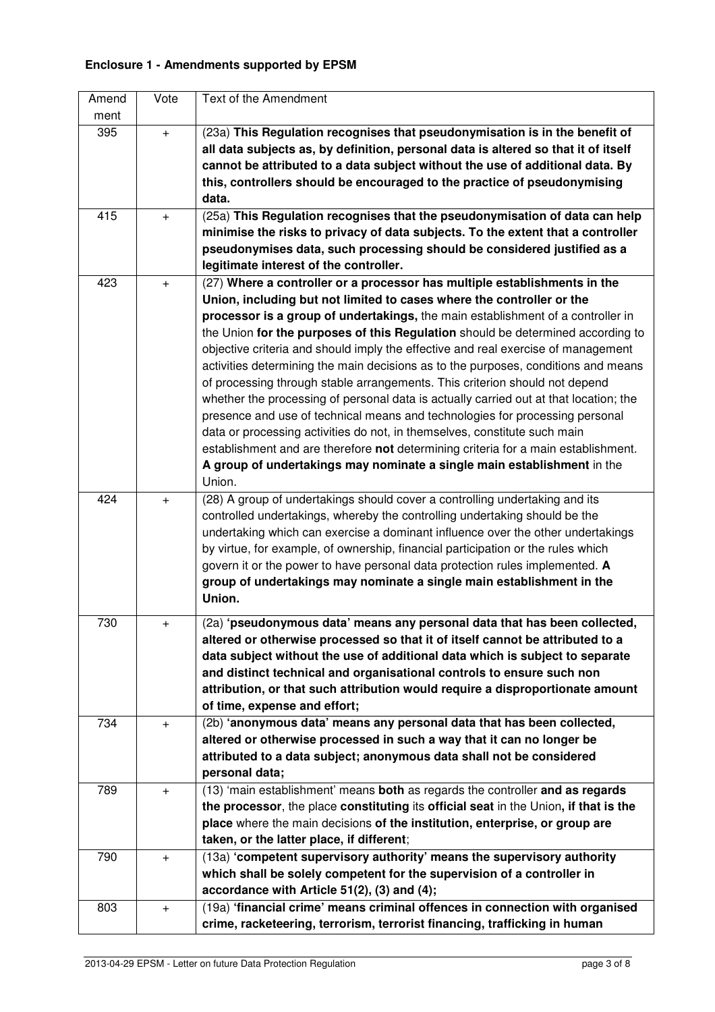# **Enclosure 1 - Amendments supported by EPSM**

| Amend | Vote      | Text of the Amendment                                                                 |
|-------|-----------|---------------------------------------------------------------------------------------|
| ment  |           |                                                                                       |
| 395   | $+$       | (23a) This Regulation recognises that pseudonymisation is in the benefit of           |
|       |           | all data subjects as, by definition, personal data is altered so that it of itself    |
|       |           | cannot be attributed to a data subject without the use of additional data. By         |
|       |           | this, controllers should be encouraged to the practice of pseudonymising              |
|       |           | data.                                                                                 |
| 415   | $+$       | (25a) This Regulation recognises that the pseudonymisation of data can help           |
|       |           | minimise the risks to privacy of data subjects. To the extent that a controller       |
|       |           | pseudonymises data, such processing should be considered justified as a               |
|       |           | legitimate interest of the controller.                                                |
| 423   | $+$       | (27) Where a controller or a processor has multiple establishments in the             |
|       |           | Union, including but not limited to cases where the controller or the                 |
|       |           | processor is a group of undertakings, the main establishment of a controller in       |
|       |           | the Union for the purposes of this Regulation should be determined according to       |
|       |           | objective criteria and should imply the effective and real exercise of management     |
|       |           | activities determining the main decisions as to the purposes, conditions and means    |
|       |           | of processing through stable arrangements. This criterion should not depend           |
|       |           | whether the processing of personal data is actually carried out at that location; the |
|       |           | presence and use of technical means and technologies for processing personal          |
|       |           | data or processing activities do not, in themselves, constitute such main             |
|       |           | establishment and are therefore not determining criteria for a main establishment.    |
|       |           | A group of undertakings may nominate a single main establishment in the               |
|       |           | Union.                                                                                |
| 424   | $+$       | (28) A group of undertakings should cover a controlling undertaking and its           |
|       |           | controlled undertakings, whereby the controlling undertaking should be the            |
|       |           | undertaking which can exercise a dominant influence over the other undertakings       |
|       |           | by virtue, for example, of ownership, financial participation or the rules which      |
|       |           | govern it or the power to have personal data protection rules implemented. A          |
|       |           | group of undertakings may nominate a single main establishment in the                 |
|       |           | Union.                                                                                |
| 730   | $\ddot{}$ | (2a) 'pseudonymous data' means any personal data that has been collected,             |
|       |           | altered or otherwise processed so that it of itself cannot be attributed to a         |
|       |           | data subject without the use of additional data which is subject to separate          |
|       |           | and distinct technical and organisational controls to ensure such non                 |
|       |           | attribution, or that such attribution would require a disproportionate amount         |
|       |           | of time, expense and effort;                                                          |
| 734   | $+$       | (2b) 'anonymous data' means any personal data that has been collected,                |
|       |           | altered or otherwise processed in such a way that it can no longer be                 |
|       |           | attributed to a data subject; anonymous data shall not be considered                  |
|       |           | personal data;                                                                        |
| 789   | $+$       | (13) 'main establishment' means both as regards the controller and as regards         |
|       |           | the processor, the place constituting its official seat in the Union, if that is the  |
|       |           | place where the main decisions of the institution, enterprise, or group are           |
|       |           | taken, or the latter place, if different;                                             |
| 790   | $+$       | (13a) 'competent supervisory authority' means the supervisory authority               |
|       |           | which shall be solely competent for the supervision of a controller in                |
|       |           | accordance with Article 51(2), (3) and (4);                                           |
| 803   | $+$       | (19a) 'financial crime' means criminal offences in connection with organised          |
|       |           | crime, racketeering, terrorism, terrorist financing, trafficking in human             |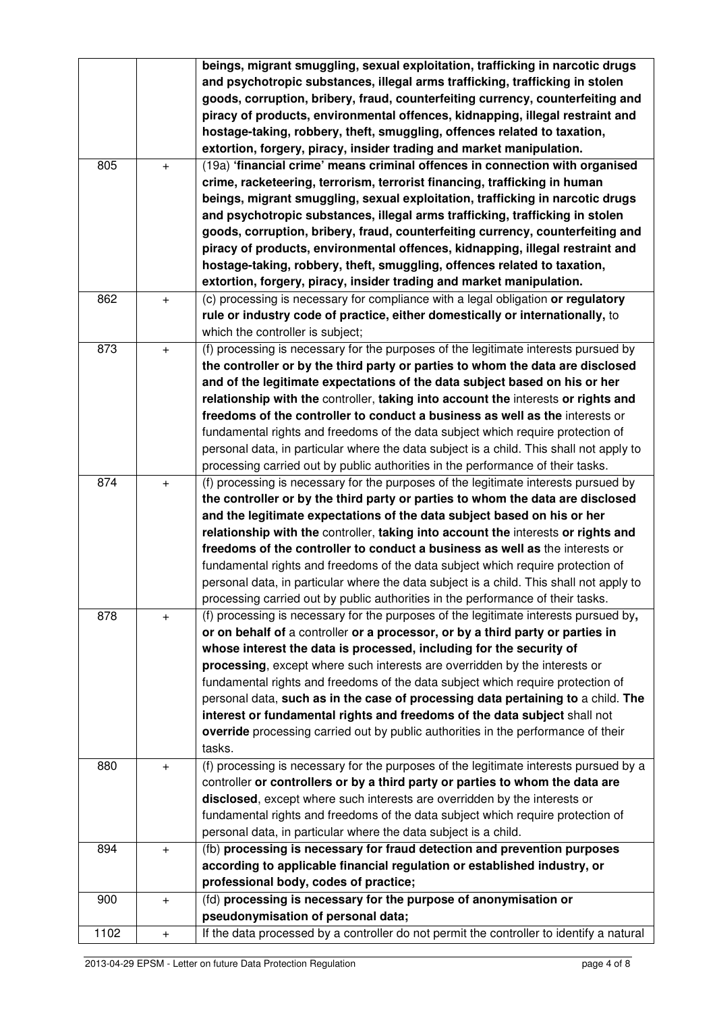|      |                   | beings, migrant smuggling, sexual exploitation, trafficking in narcotic drugs<br>and psychotropic substances, illegal arms trafficking, trafficking in stolen<br>goods, corruption, bribery, fraud, counterfeiting currency, counterfeiting and<br>piracy of products, environmental offences, kidnapping, illegal restraint and<br>hostage-taking, robbery, theft, smuggling, offences related to taxation,<br>extortion, forgery, piracy, insider trading and market manipulation.                                                                                                                                                                                                      |
|------|-------------------|-------------------------------------------------------------------------------------------------------------------------------------------------------------------------------------------------------------------------------------------------------------------------------------------------------------------------------------------------------------------------------------------------------------------------------------------------------------------------------------------------------------------------------------------------------------------------------------------------------------------------------------------------------------------------------------------|
| 805  | $\qquad \qquad +$ | (19a) 'financial crime' means criminal offences in connection with organised<br>crime, racketeering, terrorism, terrorist financing, trafficking in human<br>beings, migrant smuggling, sexual exploitation, trafficking in narcotic drugs<br>and psychotropic substances, illegal arms trafficking, trafficking in stolen<br>goods, corruption, bribery, fraud, counterfeiting currency, counterfeiting and<br>piracy of products, environmental offences, kidnapping, illegal restraint and<br>hostage-taking, robbery, theft, smuggling, offences related to taxation,                                                                                                                 |
| 862  | $+$               | extortion, forgery, piracy, insider trading and market manipulation.<br>(c) processing is necessary for compliance with a legal obligation or regulatory<br>rule or industry code of practice, either domestically or internationally, to<br>which the controller is subject;                                                                                                                                                                                                                                                                                                                                                                                                             |
| 873  | $+$               | (f) processing is necessary for the purposes of the legitimate interests pursued by<br>the controller or by the third party or parties to whom the data are disclosed<br>and of the legitimate expectations of the data subject based on his or her<br>relationship with the controller, taking into account the interests or rights and<br>freedoms of the controller to conduct a business as well as the interests or<br>fundamental rights and freedoms of the data subject which require protection of<br>personal data, in particular where the data subject is a child. This shall not apply to<br>processing carried out by public authorities in the performance of their tasks. |
| 874  | $\ddot{}$         | (f) processing is necessary for the purposes of the legitimate interests pursued by<br>the controller or by the third party or parties to whom the data are disclosed<br>and the legitimate expectations of the data subject based on his or her<br>relationship with the controller, taking into account the interests or rights and<br>freedoms of the controller to conduct a business as well as the interests or<br>fundamental rights and freedoms of the data subject which require protection of<br>personal data, in particular where the data subject is a child. This shall not apply to<br>processing carried out by public authorities in the performance of their tasks.    |
| 878  | $\ddot{}$         | (f) processing is necessary for the purposes of the legitimate interests pursued by,<br>or on behalf of a controller or a processor, or by a third party or parties in<br>whose interest the data is processed, including for the security of<br>processing, except where such interests are overridden by the interests or<br>fundamental rights and freedoms of the data subject which require protection of<br>personal data, such as in the case of processing data pertaining to a child. The<br>interest or fundamental rights and freedoms of the data subject shall not<br>override processing carried out by public authorities in the performance of their<br>tasks.            |
| 880  | $\ddot{}$         | (f) processing is necessary for the purposes of the legitimate interests pursued by a<br>controller or controllers or by a third party or parties to whom the data are<br>disclosed, except where such interests are overridden by the interests or<br>fundamental rights and freedoms of the data subject which require protection of<br>personal data, in particular where the data subject is a child.                                                                                                                                                                                                                                                                                 |
| 894  | $\boldsymbol{+}$  | (fb) processing is necessary for fraud detection and prevention purposes<br>according to applicable financial regulation or established industry, or<br>professional body, codes of practice;                                                                                                                                                                                                                                                                                                                                                                                                                                                                                             |
| 900  | $+$               | (fd) processing is necessary for the purpose of anonymisation or<br>pseudonymisation of personal data;                                                                                                                                                                                                                                                                                                                                                                                                                                                                                                                                                                                    |
| 1102 | $+$               | If the data processed by a controller do not permit the controller to identify a natural                                                                                                                                                                                                                                                                                                                                                                                                                                                                                                                                                                                                  |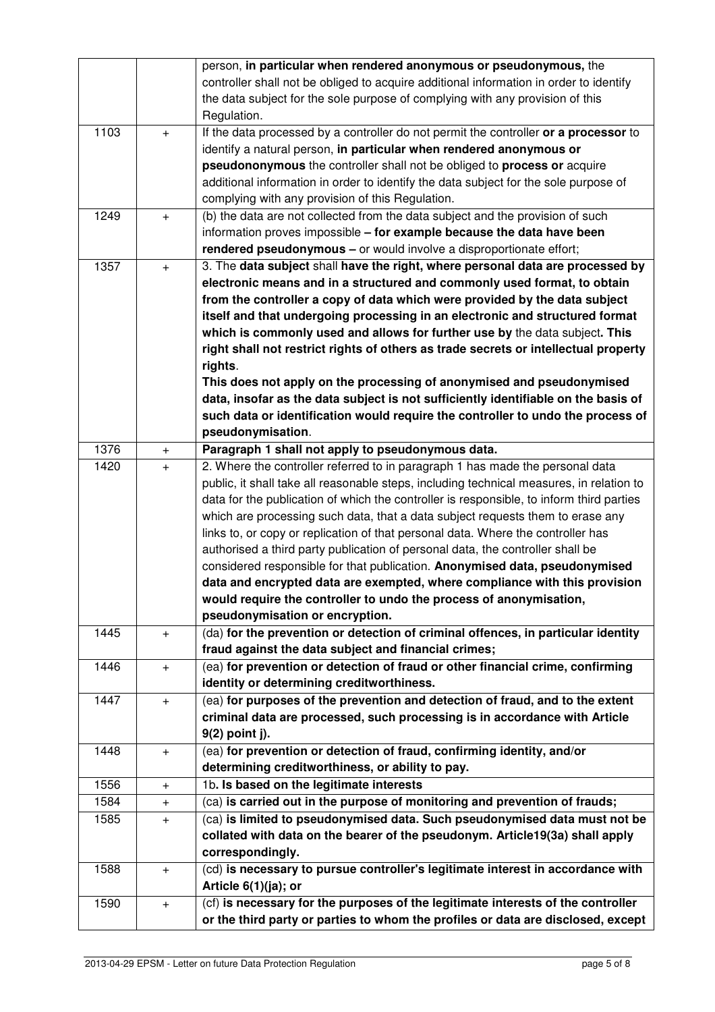|      |           | person, in particular when rendered anonymous or pseudonymous, the                       |  |  |  |  |
|------|-----------|------------------------------------------------------------------------------------------|--|--|--|--|
|      |           | controller shall not be obliged to acquire additional information in order to identify   |  |  |  |  |
|      |           | the data subject for the sole purpose of complying with any provision of this            |  |  |  |  |
|      |           | Regulation.                                                                              |  |  |  |  |
| 1103 | $+$       | If the data processed by a controller do not permit the controller or a processor to     |  |  |  |  |
|      |           | identify a natural person, in particular when rendered anonymous or                      |  |  |  |  |
|      |           | pseudononymous the controller shall not be obliged to process or acquire                 |  |  |  |  |
|      |           | additional information in order to identify the data subject for the sole purpose of     |  |  |  |  |
|      |           | complying with any provision of this Regulation.                                         |  |  |  |  |
| 1249 | $\ddot{}$ | (b) the data are not collected from the data subject and the provision of such           |  |  |  |  |
|      |           | information proves impossible - for example because the data have been                   |  |  |  |  |
|      |           | rendered pseudonymous - or would involve a disproportionate effort;                      |  |  |  |  |
| 1357 | $\ddot{}$ | 3. The data subject shall have the right, where personal data are processed by           |  |  |  |  |
|      |           | electronic means and in a structured and commonly used format, to obtain                 |  |  |  |  |
|      |           | from the controller a copy of data which were provided by the data subject               |  |  |  |  |
|      |           | itself and that undergoing processing in an electronic and structured format             |  |  |  |  |
|      |           | which is commonly used and allows for further use by the data subject. This              |  |  |  |  |
|      |           | right shall not restrict rights of others as trade secrets or intellectual property      |  |  |  |  |
|      |           | rights.                                                                                  |  |  |  |  |
|      |           | This does not apply on the processing of anonymised and pseudonymised                    |  |  |  |  |
|      |           | data, insofar as the data subject is not sufficiently identifiable on the basis of       |  |  |  |  |
|      |           | such data or identification would require the controller to undo the process of          |  |  |  |  |
|      |           | pseudonymisation.                                                                        |  |  |  |  |
| 1376 | $+$       | Paragraph 1 shall not apply to pseudonymous data.                                        |  |  |  |  |
| 1420 | $+$       | 2. Where the controller referred to in paragraph 1 has made the personal data            |  |  |  |  |
|      |           | public, it shall take all reasonable steps, including technical measures, in relation to |  |  |  |  |
|      |           | data for the publication of which the controller is responsible, to inform third parties |  |  |  |  |
|      |           | which are processing such data, that a data subject requests them to erase any           |  |  |  |  |
|      |           | links to, or copy or replication of that personal data. Where the controller has         |  |  |  |  |
|      |           | authorised a third party publication of personal data, the controller shall be           |  |  |  |  |
|      |           | considered responsible for that publication. Anonymised data, pseudonymised              |  |  |  |  |
|      |           | data and encrypted data are exempted, where compliance with this provision               |  |  |  |  |
|      |           | would require the controller to undo the process of anonymisation,                       |  |  |  |  |
|      |           | pseudonymisation or encryption.                                                          |  |  |  |  |
| 1445 | $\ddot{}$ | (da) for the prevention or detection of criminal offences, in particular identity        |  |  |  |  |
|      |           | fraud against the data subject and financial crimes;                                     |  |  |  |  |
| 1446 | $+$       | (ea) for prevention or detection of fraud or other financial crime, confirming           |  |  |  |  |
|      |           | identity or determining creditworthiness.                                                |  |  |  |  |
| 1447 | $\ddot{}$ | (ea) for purposes of the prevention and detection of fraud, and to the extent            |  |  |  |  |
|      |           | criminal data are processed, such processing is in accordance with Article               |  |  |  |  |
|      |           | 9(2) point j).                                                                           |  |  |  |  |
| 1448 | $\ddot{}$ | (ea) for prevention or detection of fraud, confirming identity, and/or                   |  |  |  |  |
|      |           | determining creditworthiness, or ability to pay.                                         |  |  |  |  |
| 1556 | $+$       | 1b. Is based on the legitimate interests                                                 |  |  |  |  |
| 1584 | $\ddot{}$ | (ca) is carried out in the purpose of monitoring and prevention of frauds;               |  |  |  |  |
| 1585 | $\ddot{}$ | (ca) is limited to pseudonymised data. Such pseudonymised data must not be               |  |  |  |  |
|      |           | collated with data on the bearer of the pseudonym. Article19(3a) shall apply             |  |  |  |  |
|      |           | correspondingly.                                                                         |  |  |  |  |
| 1588 | $+$       | (cd) is necessary to pursue controller's legitimate interest in accordance with          |  |  |  |  |
|      |           | Article 6(1)(ja); or                                                                     |  |  |  |  |
| 1590 | $+$       | (cf) is necessary for the purposes of the legitimate interests of the controller         |  |  |  |  |
|      |           | or the third party or parties to whom the profiles or data are disclosed, except         |  |  |  |  |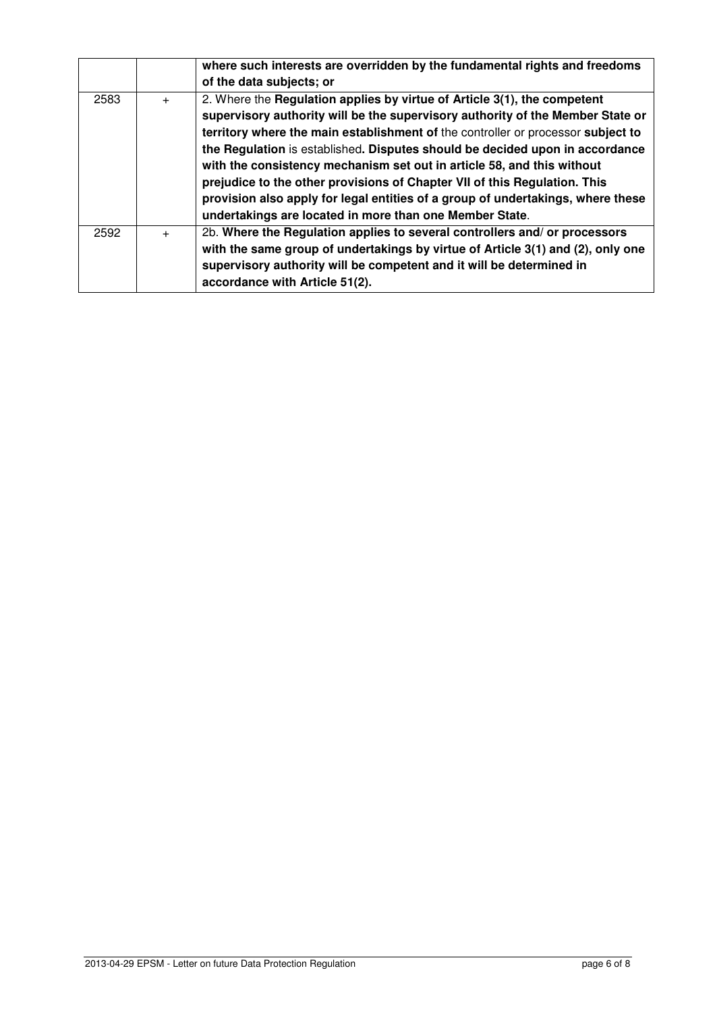|      |     | where such interests are overridden by the fundamental rights and freedoms       |
|------|-----|----------------------------------------------------------------------------------|
|      |     | of the data subjects; or                                                         |
| 2583 | $+$ | 2. Where the Regulation applies by virtue of Article 3(1), the competent         |
|      |     | supervisory authority will be the supervisory authority of the Member State or   |
|      |     | territory where the main establishment of the controller or processor subject to |
|      |     | the Regulation is established. Disputes should be decided upon in accordance     |
|      |     | with the consistency mechanism set out in article 58, and this without           |
|      |     | prejudice to the other provisions of Chapter VII of this Regulation. This        |
|      |     | provision also apply for legal entities of a group of undertakings, where these  |
|      |     | undertakings are located in more than one Member State.                          |
| 2592 | $+$ | 2b. Where the Regulation applies to several controllers and/ or processors       |
|      |     | with the same group of undertakings by virtue of Article 3(1) and (2), only one  |
|      |     | supervisory authority will be competent and it will be determined in             |
|      |     | accordance with Article 51(2).                                                   |
|      |     |                                                                                  |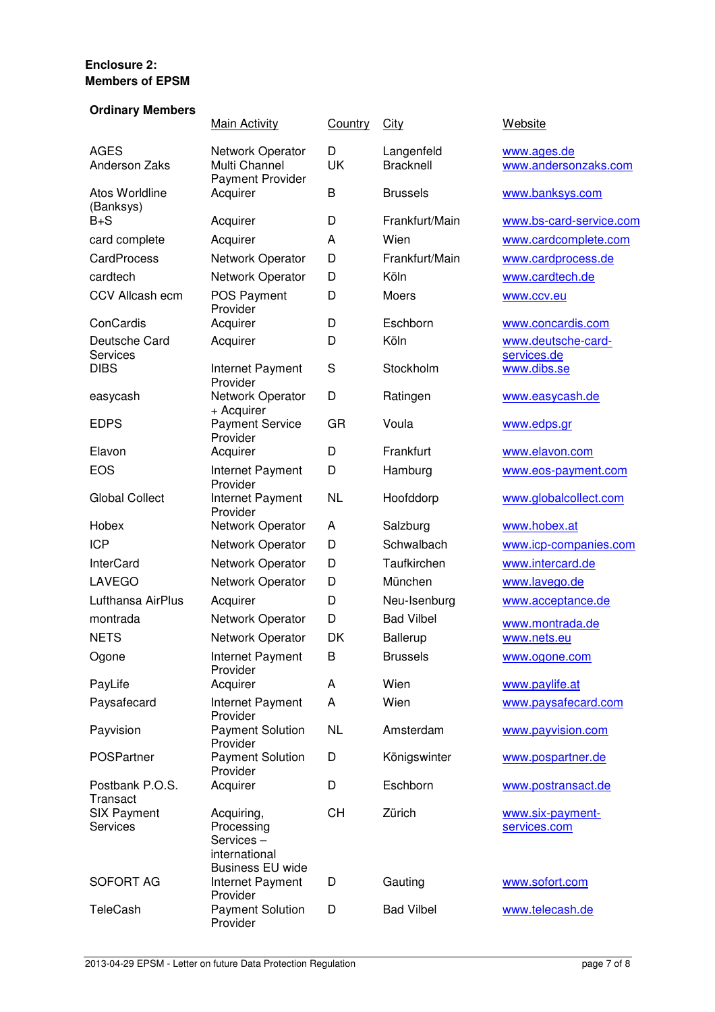## **Enclosure 2: Members of EPSM**

#### **Ordinary Members**

|                                     | <b>Main Activity</b>                                                              | Country   | City                           | Website                             |
|-------------------------------------|-----------------------------------------------------------------------------------|-----------|--------------------------------|-------------------------------------|
| <b>AGES</b><br><b>Anderson Zaks</b> | Network Operator<br>Multi Channel<br><b>Payment Provider</b>                      | D<br>UK   | Langenfeld<br><b>Bracknell</b> | www.ages.de<br>www.andersonzaks.com |
| <b>Atos Worldline</b><br>(Banksys)  | Acquirer                                                                          | B         | <b>Brussels</b>                | www.banksys.com                     |
| $B + S$                             | Acquirer                                                                          | D         | Frankfurt/Main                 | www.bs-card-service.com             |
| card complete                       | Acquirer                                                                          | A         | Wien                           | www.cardcomplete.com                |
| <b>CardProcess</b>                  | Network Operator                                                                  | D         | Frankfurt/Main                 | www.cardprocess.de                  |
| cardtech                            | Network Operator                                                                  | D         | Köln                           | www.cardtech.de                     |
| <b>CCV Allcash ecm</b>              | POS Payment<br>Provider                                                           | D         | Moers                          | www.ccv.eu                          |
| ConCardis                           | Acquirer                                                                          | D         | Eschborn                       | www.concardis.com                   |
| Deutsche Card<br>Services           | Acquirer                                                                          | D         | Köln                           | www.deutsche-card-<br>services.de   |
| <b>DIBS</b>                         | Internet Payment<br>Provider                                                      | S         | Stockholm                      | www.dibs.se                         |
| easycash                            | Network Operator<br>+ Acquirer                                                    | D         | Ratingen                       | www.easycash.de                     |
| <b>EDPS</b>                         | <b>Payment Service</b><br>Provider                                                | GR        | Voula                          | www.edps.gr                         |
| Elavon                              | Acquirer                                                                          | D         | Frankfurt                      | www.elavon.com                      |
| <b>EOS</b>                          | Internet Payment<br>Provider                                                      | D         | Hamburg                        | www.eos-payment.com                 |
| <b>Global Collect</b>               | Internet Payment<br>Provider                                                      | <b>NL</b> | Hoofddorp                      | www.globalcollect.com               |
| Hobex                               | Network Operator                                                                  | A         | Salzburg                       | www.hobex.at                        |
| <b>ICP</b>                          | Network Operator                                                                  | D         | Schwalbach                     | www.icp-companies.com               |
| <b>InterCard</b>                    | Network Operator                                                                  | D         | Taufkirchen                    | www.intercard.de                    |
| <b>LAVEGO</b>                       | Network Operator                                                                  | D         | München                        | www.lavego.de                       |
| Lufthansa AirPlus                   | Acquirer                                                                          | D         | Neu-Isenburg                   | www.acceptance.de                   |
| montrada                            | Network Operator                                                                  | D         | <b>Bad Vilbel</b>              | www.montrada.de                     |
| <b>NETS</b>                         | Network Operator                                                                  | DK        | <b>Ballerup</b>                | www.nets.eu                         |
| Ogone                               | Internet Payment<br>Provider                                                      | B         | <b>Brussels</b>                | www.ogone.com                       |
| PayLife                             | Acquirer                                                                          | A         | Wien                           | www.paylife.at                      |
| Paysafecard                         | Internet Payment<br>Provider                                                      | A         | Wien                           | www.paysafecard.com                 |
| Payvision                           | <b>Payment Solution</b><br>Provider                                               | <b>NL</b> | Amsterdam                      | www.payvision.com                   |
| POSPartner                          | <b>Payment Solution</b><br>Provider                                               | D         | Königswinter                   | www.pospartner.de                   |
| Postbank P.O.S.<br>Transact         | Acquirer                                                                          | D         | Eschborn                       | www.postransact.de                  |
| <b>SIX Payment</b><br>Services      | Acquiring,<br>Processing<br>Services-<br>international<br><b>Business EU wide</b> | <b>CH</b> | Zürich                         | www.six-payment-<br>services.com    |
| <b>SOFORT AG</b>                    | Internet Payment<br>Provider                                                      | D         | Gauting                        | www.sofort.com                      |
| <b>TeleCash</b>                     | <b>Payment Solution</b><br>Provider                                               | D         | <b>Bad Vilbel</b>              | www.telecash.de                     |